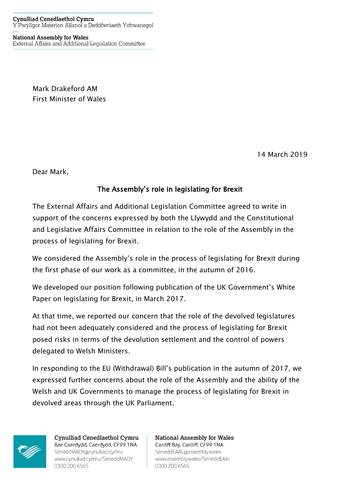**National Assembly for Wales** External Affairs and Additional Legislation Committee

> Mark Drakeford AM First Minister of Wales

> > 14 March 2019

Dear Mark,

## The Assembly's role in legislating for Brexit

The External Affairs and Additional Legislation Committee agreed to write in support of the concerns expressed by both the Llywydd and the Constitutional and Legislative Affairs Committee in relation to the role of the Assembly in the process of legislating for Brexit.

We considered the Assembly's role in the process of legislating for Brexit during the first phase of our work as a committee, in the autumn of 2016.

We developed our position following publication of the UK Government's White Paper on legislating for Brexit, in March 2017.

At that time, we reported our concern that the role of the devolved legislatures had not been adequately considered and the process of legislating for Brexit posed risks in terms of the devolution settlement and the control of powers delegated to Welsh Ministers.

In responding to the EU (Withdrawal) Bill's publication in the autumn of 2017, we expressed further concerns about the role of the Assembly and the ability of the Welsh and UK Governments to manage the process of legislating for Brexit in devolved areas through the UK Parliament.



**Cynulliad Cenedlaethol Cymru** Bae Caerdydd, Caerdydd, CF99 1NA SeneddMADY@cynulliad.cymru www.cynulliad.cymru/SeneddMADY 0300 200 6565

**National Assembly for Wales** Cardiff Bay, Cardiff, CF99 1NA SeneddEAAL@assembly.wales www.assembly.wales/SeneddEAAL 0300 200 6565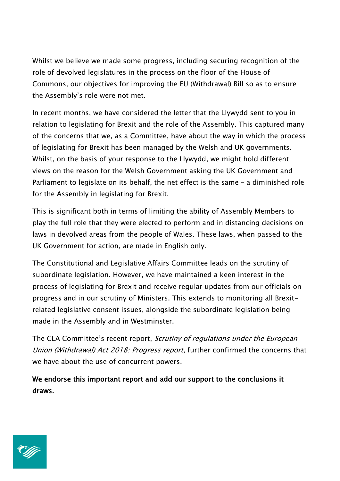Whilst we believe we made some progress, including securing recognition of the role of devolved legislatures in the process on the floor of the House of Commons, our objectives for improving the EU (Withdrawal) Bill so as to ensure the Assembly's role were not met.

In recent months, we have considered the letter that the Llywydd sent to you in relation to legislating for Brexit and the role of the Assembly. This captured many of the concerns that we, as a Committee, have about the way in which the process of legislating for Brexit has been managed by the Welsh and UK governments. Whilst, on the basis of your response to the Llywydd, we might hold different views on the reason for the Welsh Government asking the UK Government and Parliament to legislate on its behalf, the net effect is the same – a diminished role for the Assembly in legislating for Brexit.

This is significant both in terms of limiting the ability of Assembly Members to play the full role that they were elected to perform and in distancing decisions on laws in devolved areas from the people of Wales. These laws, when passed to the UK Government for action, are made in English only.

The Constitutional and Legislative Affairs Committee leads on the scrutiny of subordinate legislation. However, we have maintained a keen interest in the process of legislating for Brexit and receive regular updates from our officials on progress and in our scrutiny of Ministers. This extends to monitoring all Brexitrelated legislative consent issues, alongside the subordinate legislation being made in the Assembly and in Westminster.

The CLA Committee's recent report, Scrutiny of regulations under the European Union (Withdrawal) Act 2018: Progress report, further confirmed the concerns that we have about the use of concurrent powers.

We endorse this important report and add our support to the conclusions it draws.

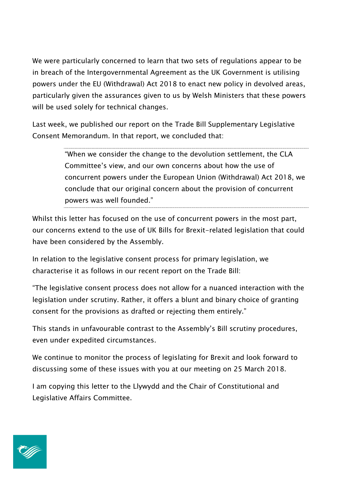We were particularly concerned to learn that two sets of regulations appear to be in breach of the Intergovernmental Agreement as the UK Government is utilising powers under the EU (Withdrawal) Act 2018 to enact new policy in devolved areas, particularly given the assurances given to us by Welsh Ministers that these powers will be used solely for technical changes.

Last week, we published our report on the Trade Bill Supplementary Legislative Consent Memorandum. In that report, we concluded that:

> "When we consider the change to the devolution settlement, the CLA Committee's view, and our own concerns about how the use of concurrent powers under the European Union (Withdrawal) Act 2018, we conclude that our original concern about the provision of concurrent powers was well founded."

Whilst this letter has focused on the use of concurrent powers in the most part, our concerns extend to the use of UK Bills for Brexit-related legislation that could have been considered by the Assembly.

In relation to the legislative consent process for primary legislation, we characterise it as follows in our recent report on the Trade Bill:

"The legislative consent process does not allow for a nuanced interaction with the legislation under scrutiny. Rather, it offers a blunt and binary choice of granting consent for the provisions as drafted or rejecting them entirely."

This stands in unfavourable contrast to the Assembly's Bill scrutiny procedures, even under expedited circumstances.

We continue to monitor the process of legislating for Brexit and look forward to discussing some of these issues with you at our meeting on 25 March 2018.

I am copying this letter to the Llywydd and the Chair of Constitutional and Legislative Affairs Committee.